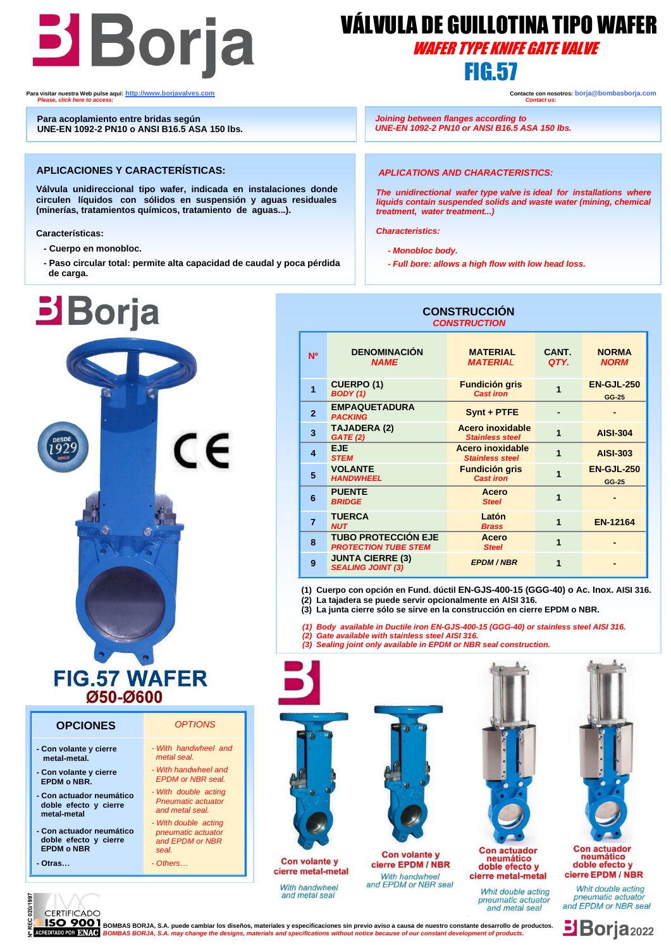

## VÁLVULA DE GUILLOTINA TIPO WAFER WAFER TYPE KNIFE GATE VALVE

 **Para visitar nuestra Web pulse aquí: [http://www.borjavalves.com](http://www.borjavalves.com/) Contacte con nosotros: borja@bombasborja.com**  *Please, click here to access: Contact us:* 

l

 **Para acoplamiento entre bridas según UNE-EN 1092-2 PN10 o ANSI B16.5 ASA 150 lbs.**

#### **APLICACIONES Y CARACTERÍSTICAS:**

**Válvula unidireccional tipo wafer, indicada en instalaciones donde circulen líquidos con sólidos en suspensión y aguas residuales (minerías, tratamientos químicos, tratamiento de aguas...).** 

**Características:**

- **- Cuerpo en monobloc.**
- **de carga. - Paso circular total: permite alta capacidad de caudal y poca pérdida**



### **FIG.57 WAFER Ø50-Ø600**

#### **OPCIONES** *OPTIONS*

- **- Con volante y cierre metal-metal. - Con volante y cierre EPDM o NBR.**
- **- Con actuador neumático doble efecto y cierre metal-metal**
- **- Con actuador neumático doble efecto y cierre EPDM o NBR**
- **- Otras…**

I

 *metal seal. - With handwheel and EPDM or NBR seal. - With double acting* 

 *- With handwheel and* 

- *Pneumatic actuator and metal seal.*
- *- With double acting pneumatic actuator and EPDM or NBR*
- *seal. - Others…*

*The unidirectional wafer type valve is ideal for installations where liquids contain suspended solids and waste water (mining, chemical* 

 *APLICATIONS AND CHARACTERISTICS:*

 *UNE-EN 1092-2 PN10 or ANSI B16.5 ASA 150 lbs.*

*Characteristics:*

İ

 *- Monobloc body.*

*treatment, water treatment...)*

  *Joining between flanges according to*

 *- Full bore: allows a high flow with low head loss.*

#### **CONSTRUCCIÓN**  *CONSTRUCTION*

| <b>N°</b>      | <b>DENOMINACIÓN</b><br><b>NAME</b>                        | <b>MATERIAL</b><br><b>MATERIAL</b>                | CANT.<br>QTY.  | <b>NORMA</b><br><b>NORM</b> |
|----------------|-----------------------------------------------------------|---------------------------------------------------|----------------|-----------------------------|
| 1              | <b>CUERPO (1)</b><br><b>BODY</b> (1)                      | <b>Fundición gris</b><br><b>Cast iron</b>         |                | <b>EN-GJL-250</b><br>GG-25  |
| $\overline{2}$ | <b>EMPAQUETADURA</b><br><b>PACKING</b>                    | Synt + PTFE                                       |                |                             |
| $\overline{3}$ | <b>TAJADERA (2)</b><br>GATE(2)                            | Acero inoxidable<br><b>Stainless steel</b>        | $\overline{1}$ | <b>AISI-304</b>             |
| 4              | EJE.<br><b>STEM</b>                                       | <b>Acero inoxidable</b><br><b>Stainless steel</b> | 1              | <b>AISI-303</b>             |
| 5              | <b>VOLANTE</b><br><b>HANDWHEEL</b>                        | <b>Fundición gris</b><br><b>Cast iron</b>         | 1              | <b>EN-GJL-250</b><br>GG-25  |
| 6              | <b>PUENTE</b><br><b>BRIDGE</b>                            | <b>Acero</b><br><b>Steel</b>                      | 1              |                             |
| $\overline{7}$ | <b>TUERCA</b><br><b>NUT</b>                               | Latón<br><b>Brass</b>                             | 1              | <b>EN-12164</b>             |
| 8              | <b>TUBO PROTECCIÓN EJE</b><br><b>PROTECTION TUBE STEM</b> | <b>Acero</b><br><b>Steel</b>                      | 1              |                             |
| 9              | <b>JUNTA CIERRE (3)</b><br><b>SEALING JOINT (3)</b>       | <b>EPDM/NBR</b>                                   | 1              |                             |

 **(1) Cuerpo con opción en Fund. dúctil EN-GJS-400-15 (GGG-40) o Ac. Inox. AISI 316. (2) La tajadera se puede servir opcionalmente en AISI 316.**

 **(3) La junta cierre sólo se sirve en la construcción en cierre EPDM o NBR.**

 *(1) Body available in Ductile iron EN-GJS-400-15 (GGG-40) or stainless steel AISI 316.*

- *(2) Gate available with stainless steel AISI 316.*
- *(3) Sealing joint only available in EPDM or NBR seal construction.*



With handwheel and metal sea.

Whit double acting

pneumatic actuator and metal seal

cierre EPDM / NBR Whit double acting

pneumatic actuator and EPDM or NBR seal



**CERTIFICADO** Ĺ **BSO 9001** BOMBAS BORJA, S.A. puede cambiar los diseños, materiales y especificaciones sin previo aviso a causa de nuestro constante desarrollo de productos.<br>**BOIMPO DE ROMBAS BORJA, S.A. may change the designs, materials**  *BOMBAS BORJA, S.A. may change the designs, materials and specifications without notice because of our constant development of products.*